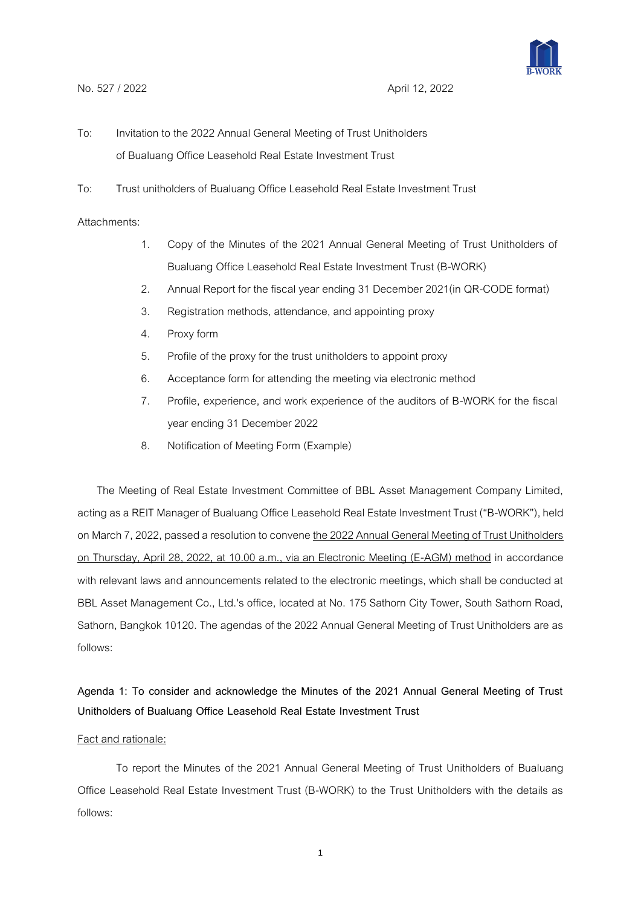

- To: Invitation to the 2022 Annual General Meeting of Trust Unitholders of Bualuang Office Leasehold Real Estate Investment Trust
- To: Trust unitholders of Bualuang Office Leasehold Real Estate Investment Trust

# Attachments:

- 1. Copy of the Minutes of the 2021 Annual General Meeting of Trust Unitholders of Bualuang Office Leasehold Real Estate Investment Trust (B-WORK)
- 2. Annual Report for the fiscal year ending 31 December 2021(in QR-CODE format)
- 3. Registration methods, attendance, and appointing proxy
- 4. Proxy form
- 5. Profile of the proxy for the trust unitholders to appoint proxy
- 6. Acceptance form for attending the meeting via electronic method
- 7. Profile, experience, and work experience of the auditors of B-WORK for the fiscal year ending 31 December 2022
- 8. Notification of Meeting Form (Example)

The Meeting of Real Estate Investment Committee of BBL Asset Management Company Limited, acting as a REIT Manager of Bualuang Office Leasehold Real Estate Investment Trust ("B-WORK"), held on March 7, 2022, passed a resolution to convene the 2022 Annual General Meeting of Trust Unitholders on Thursday, April 28, 2022, at 10.00 a.m., via an Electronic Meeting (E-AGM) method in accordance with relevant laws and announcements related to the electronic meetings, which shall be conducted at BBL Asset Management Co., Ltd.'s office, located at No. 175 Sathorn City Tower, South Sathorn Road, Sathorn, Bangkok 10120. The agendas of the 2022 Annual General Meeting of Trust Unitholders are as follows:

# **Agenda 1: To consider and acknowledge the Minutes of the 2021 Annual General Meeting of Trust Unitholders of Bualuang Office Leasehold Real Estate Investment Trust**

## Fact and rationale:

To report the Minutes of the 2021 Annual General Meeting of Trust Unitholders of Bualuang Office Leasehold Real Estate Investment Trust (B-WORK) to the Trust Unitholders with the details as follows: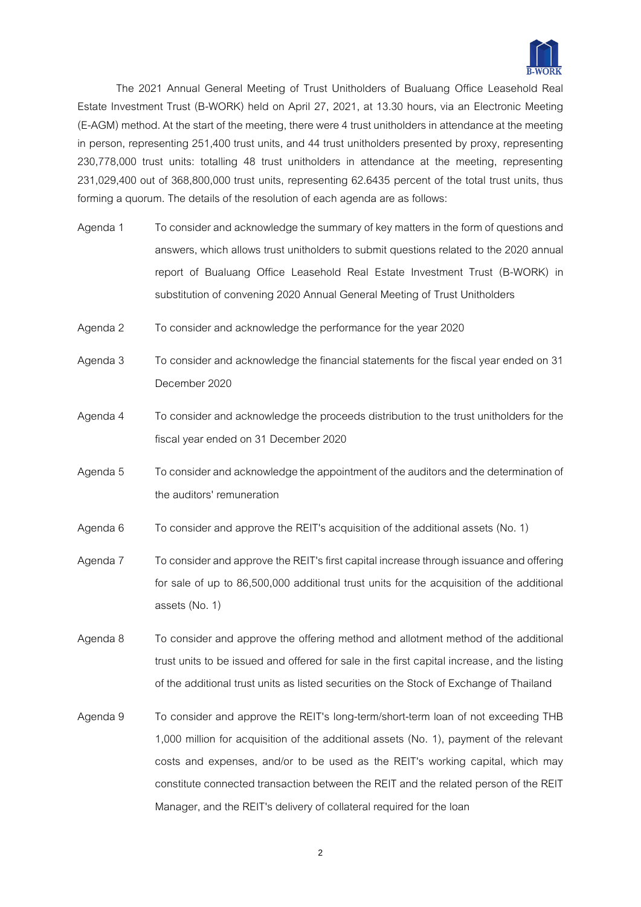

The 2021 Annual General Meeting of Trust Unitholders of Bualuang Office Leasehold Real Estate Investment Trust (B-WORK) held on April 27, 2021, at 13.30 hours, via an Electronic Meeting (E-AGM) method. At the start of the meeting, there were 4 trust unitholders in attendance at the meeting in person, representing 251,400 trust units, and 44 trust unitholders presented by proxy, representing 230,778,000 trust units: totalling 48 trust unitholders in attendance at the meeting, representing 231,029,400 out of 368,800,000 trust units, representing 62.6435 percent of the total trust units, thus forming a quorum. The details of the resolution of each agenda are as follows:

- Agenda 1 To consider and acknowledge the summary of key matters in the form of questions and answers, which allows trust unitholders to submit questions related to the 2020 annual report of Bualuang Office Leasehold Real Estate Investment Trust (B-WORK) in substitution of convening 2020 Annual General Meeting of Trust Unitholders
- Agenda 2 To consider and acknowledge the performance for the year 2020
- Agenda 3 To consider and acknowledge the financial statements for the fiscal year ended on 31 December 2020
- Agenda 4 To consider and acknowledge the proceeds distribution to the trust unitholders for the fiscal year ended on 31 December 2020
- Agenda 5 To consider and acknowledge the appointment of the auditors and the determination of the auditors' remuneration
- Agenda 6 To consider and approve the REIT's acquisition of the additional assets (No. 1)
- Agenda 7 To consider and approve the REIT's first capital increase through issuance and offering for sale of up to 86,500,000 additional trust units for the acquisition of the additional assets (No. 1)
- Agenda 8 To consider and approve the offering method and allotment method of the additional trust units to be issued and offered for sale in the first capital increase, and the listing of the additional trust units as listed securities on the Stock of Exchange of Thailand
- Agenda 9 To consider and approve the REIT's long-term/short-term loan of not exceeding THB 1,000 million for acquisition of the additional assets (No. 1), payment of the relevant costs and expenses, and/or to be used as the REIT's working capital, which may constitute connected transaction between the REIT and the related person of the REIT Manager, and the REIT's delivery of collateral required for the loan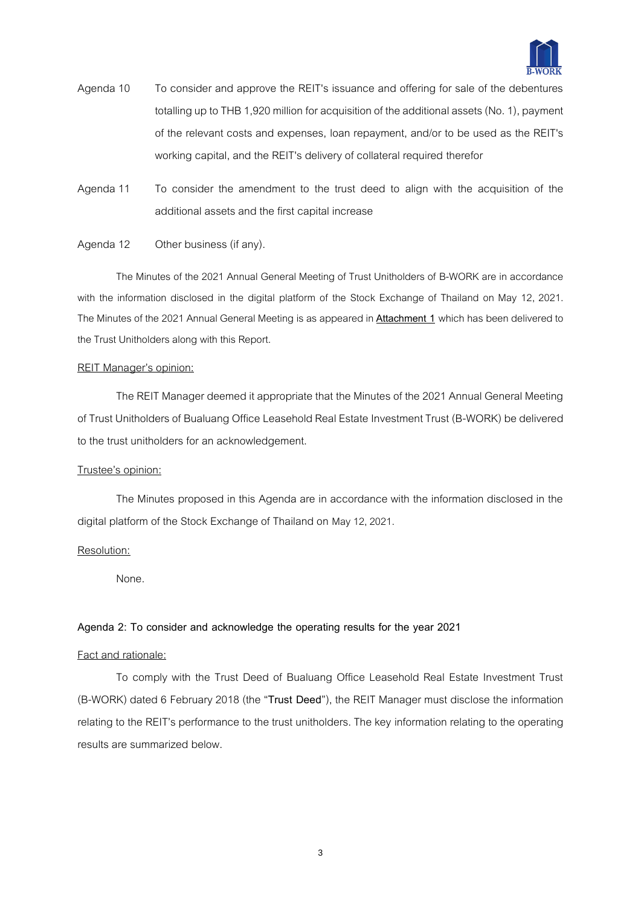

- Agenda 10 To consider and approve the REIT's issuance and offering for sale of the debentures totalling up to THB 1,920 million for acquisition of the additional assets (No. 1), payment of the relevant costs and expenses, loan repayment, and/or to be used as the REIT's working capital, and the REIT's delivery of collateral required therefor
- Agenda 11 To consider the amendment to the trust deed to align with the acquisition of the additional assets and the first capital increase

## Agenda 12 Other business (if any).

The Minutes of the 2021 Annual General Meeting of Trust Unitholders of B-WORK are in accordance with the information disclosed in the digital platform of the Stock Exchange of Thailand on May 12, 2021. The Minutes of the 2021 Annual General Meeting is as appeared in **Attachment 1** which has been delivered to the Trust Unitholders along with this Report.

#### REIT Manager's opinion:

The REIT Manager deemed it appropriate that the Minutes of the 2021 Annual General Meeting of Trust Unitholders of Bualuang Office Leasehold Real Estate Investment Trust (B-WORK) be delivered to the trust unitholders for an acknowledgement.

## Trustee's opinion:

The Minutes proposed in this Agenda are in accordance with the information disclosed in the digital platform of the Stock Exchange of Thailand on May 12,2021.

## Resolution:

None.

## **Agenda 2: To consider and acknowledge the operating results for the year 2021**

#### Fact and rationale:

To comply with the Trust Deed of Bualuang Office Leasehold Real Estate Investment Trust (B-WORK) dated 6 February 2018 (the "**Trust Deed**"), the REIT Manager must disclose the information relating to the REIT's performance to the trust unitholders. The key information relating to the operating results are summarized below.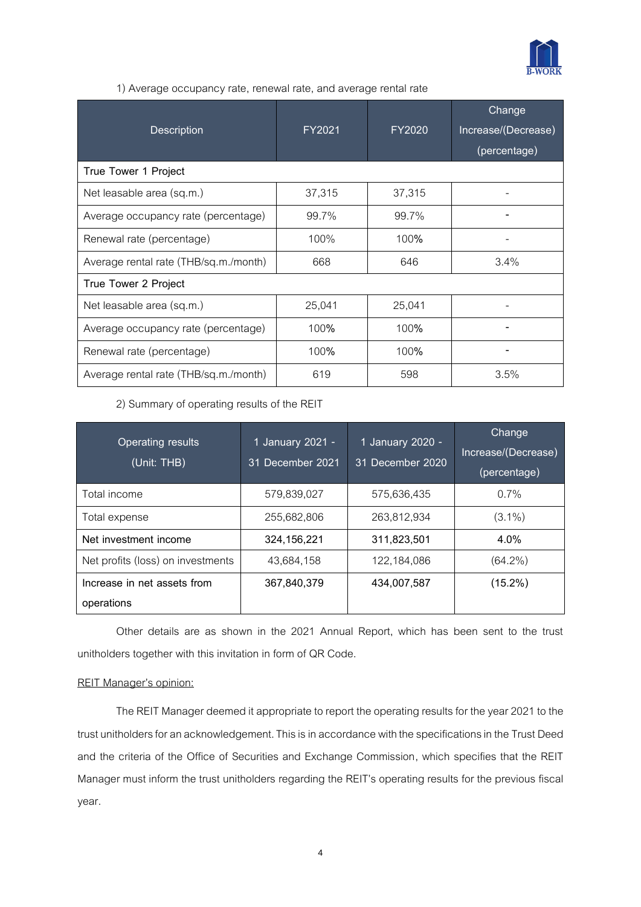

# 1) Average occupancy rate, renewal rate, and average rental rate

| <b>Description</b>                    | FY2021 | FY2020 | Change<br>Increase/(Decrease)<br>(percentage) |  |
|---------------------------------------|--------|--------|-----------------------------------------------|--|
| True Tower 1 Project                  |        |        |                                               |  |
| Net leasable area (sq.m.)             | 37,315 | 37,315 |                                               |  |
| Average occupancy rate (percentage)   | 99.7%  | 99.7%  |                                               |  |
| Renewal rate (percentage)             | 100%   | 100%   |                                               |  |
| Average rental rate (THB/sq.m./month) | 668    | 646    | 3.4%                                          |  |
| True Tower 2 Project                  |        |        |                                               |  |
| Net leasable area (sq.m.)             | 25,041 | 25,041 |                                               |  |
| Average occupancy rate (percentage)   | 100%   | 100%   |                                               |  |
| Renewal rate (percentage)             | 100%   | 100%   |                                               |  |
| Average rental rate (THB/sq.m./month) | 619    | 598    | 3.5%                                          |  |

2) Summary of operating results of the REIT

| <b>Operating results</b><br>(Unit: THB) | 1 January 2021 -<br>31 December 2021 | 1 January 2020 -<br>31 December 2020 | Change<br>Increase/(Decrease)<br>(percentage) |
|-----------------------------------------|--------------------------------------|--------------------------------------|-----------------------------------------------|
| Total income                            | 579,839,027                          | 575,636,435                          | $0.7\%$                                       |
| Total expense                           | 255,682,806                          | 263,812,934                          | $(3.1\%)$                                     |
| Net investment income                   | 324,156,221                          | 311,823,501                          | 4.0%                                          |
| Net profits (loss) on investments       | 43,684,158                           | 122,184,086                          | $(64.2\%)$                                    |
| Increase in net assets from             | 367,840,379                          | 434,007,587                          | $(15.2\%)$                                    |
| operations                              |                                      |                                      |                                               |

Other details are as shown in the 2021 Annual Report, which has been sent to the trust unitholders together with this invitation in form of QR Code.

## REIT Manager's opinion:

The REIT Manager deemed it appropriate to report the operating results for the year 2021 to the trust unitholders for an acknowledgement. This is in accordance with the specifications in the Trust Deed and the criteria of the Office of Securities and Exchange Commission, which specifies that the REIT Manager must inform the trust unitholders regarding the REIT's operating results for the previous fiscal year.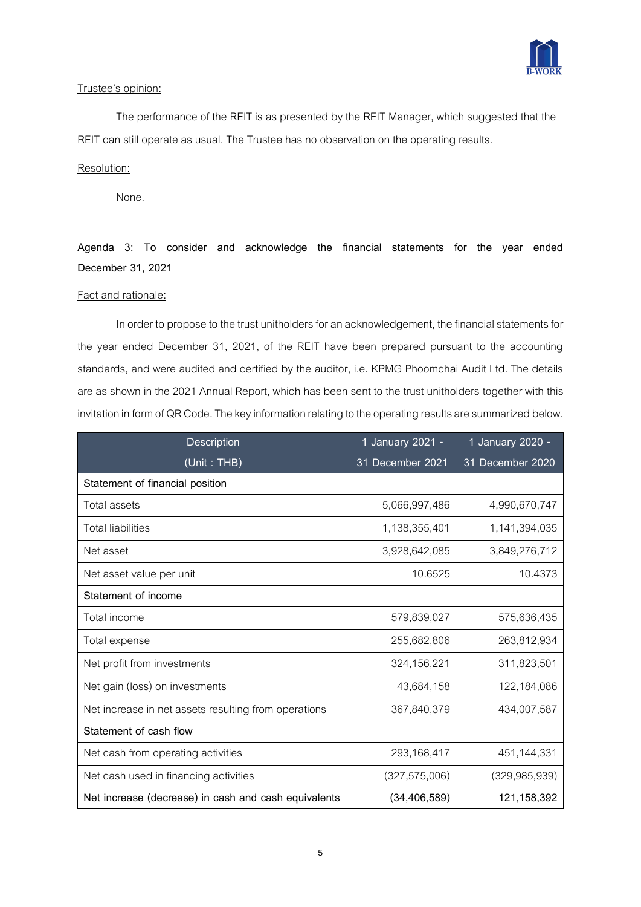

# Trustee's opinion:

The performance of the REIT is as presented by the REIT Manager, which suggested that the REIT can still operate as usual. The Trustee has no observation on the operating results.

# Resolution:

None.

**Agenda 3: To consider and acknowledge the financial statements for the year ended December 31, 2021**

# Fact and rationale:

In order to propose to the trust unitholders for an acknowledgement, the financial statements for the year ended December 31, 2021, of the REIT have been prepared pursuant to the accounting standards, and were audited and certified by the auditor, i.e. KPMG Phoomchai Audit Ltd. The details are as shown in the 2021 Annual Report, which has been sent to the trust unitholders together with this invitation in form of QR Code. The key information relating tothe operating results are summarized below.

| <b>Description</b>                                   | 1 January 2021 - | 1 January 2020 - |  |  |
|------------------------------------------------------|------------------|------------------|--|--|
| (Unit: THB)                                          | 31 December 2021 | 31 December 2020 |  |  |
| Statement of financial position                      |                  |                  |  |  |
| <b>Total assets</b>                                  | 5,066,997,486    | 4,990,670,747    |  |  |
| <b>Total liabilities</b>                             | 1,138,355,401    | 1,141,394,035    |  |  |
| Net asset                                            | 3,928,642,085    | 3,849,276,712    |  |  |
| Net asset value per unit                             | 10.6525          | 10.4373          |  |  |
| Statement of income                                  |                  |                  |  |  |
| Total income                                         | 579,839,027      | 575,636,435      |  |  |
| Total expense                                        | 255,682,806      | 263,812,934      |  |  |
| Net profit from investments                          | 324,156,221      | 311,823,501      |  |  |
| Net gain (loss) on investments                       | 43,684,158       | 122,184,086      |  |  |
| Net increase in net assets resulting from operations | 367,840,379      | 434,007,587      |  |  |
| Statement of cash flow                               |                  |                  |  |  |
| Net cash from operating activities                   | 293,168,417      | 451,144,331      |  |  |
| Net cash used in financing activities                | (327, 575, 006)  | (329, 985, 939)  |  |  |
| Net increase (decrease) in cash and cash equivalents | (34, 406, 589)   | 121,158,392      |  |  |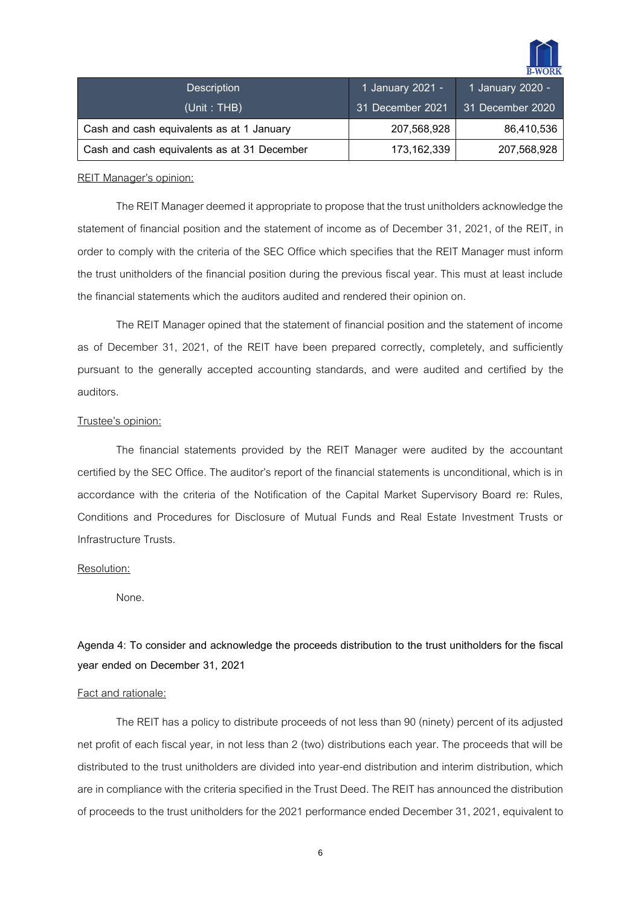

| <b>Description</b>                          | 1 January 2021 - | 1 January 2020 - |
|---------------------------------------------|------------------|------------------|
| (Unit: THB)                                 | 31 December 2021 | 31 December 2020 |
| Cash and cash equivalents as at 1 January   | 207,568,928      | 86,410,536       |
| Cash and cash equivalents as at 31 December | 173, 162, 339    | 207,568,928      |

#### REIT Manager's opinion:

The REIT Manager deemed it appropriate to propose that the trust unitholders acknowledge the statement of financial position and the statement of income as of December 31, 2021, of the REIT, in order to comply with the criteria of the SEC Office which specifies that the REIT Manager must inform the trust unitholders of the financial position during the previous fiscal year. This must at least include the financial statements which the auditors audited and rendered their opinion on.

The REIT Manager opined that the statement of financial position and the statement of income as of December 31, 2021, of the REIT have been prepared correctly, completely, and sufficiently pursuant to the generally accepted accounting standards, and were audited and certified by the auditors.

#### Trustee's opinion:

The financial statements provided by the REIT Manager were audited by the accountant certified by the SEC Office. The auditor's report of the financial statements is unconditional, which is in accordance with the criteria of the Notification of the Capital Market Supervisory Board re: Rules, Conditions and Procedures for Disclosure of Mutual Funds and Real Estate Investment Trusts or Infrastructure Trusts.

## Resolution:

None.

# **Agenda 4: To consider and acknowledge the proceeds distribution to the trust unitholders for the fiscal year ended on December 31, 2021**

## Fact and rationale:

The REIT has a policy to distribute proceeds of not less than 90 (ninety) percent of its adjusted net profit of each fiscal year, in not less than 2 (two) distributions each year. The proceeds that will be distributed to the trust unitholders are divided into year-end distribution and interim distribution, which are in compliance with the criteria specified in the Trust Deed. The REIT has announced the distribution of proceeds to the trust unitholders for the 2021 performance ended December 31, 2021, equivalent to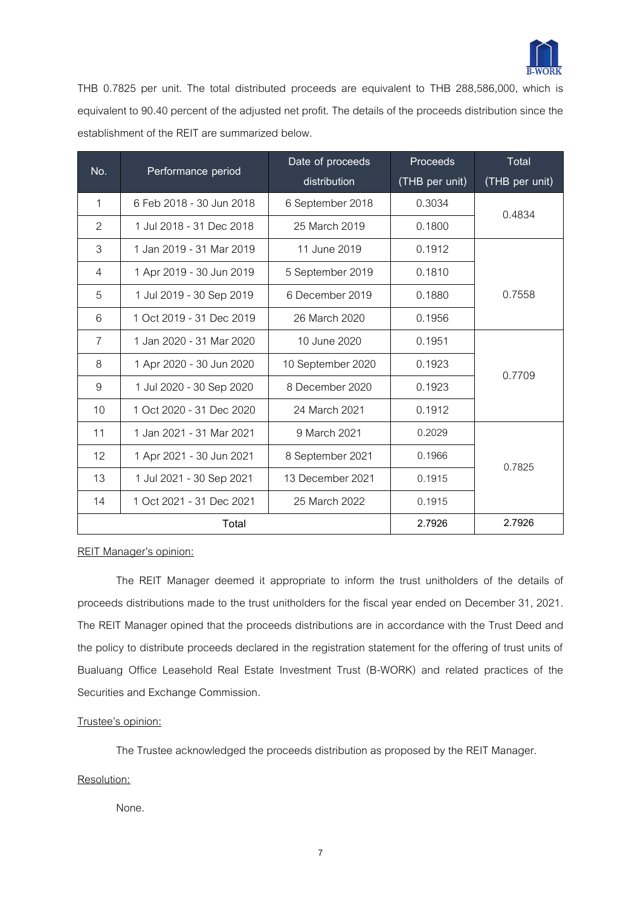

THB 0.7825 per unit. The total distributed proceeds are equivalent to THB 288,586,000, which is equivalent to 90.40 percent of the adjusted net profit. The details of the proceeds distribution since the establishment of the REIT are summarized below.

| No.            |                          | Date of proceeds  | Proceeds       | <b>Total</b>   |
|----------------|--------------------------|-------------------|----------------|----------------|
|                | Performance period       | distribution      | (THB per unit) | (THB per unit) |
| $\mathbf{1}$   | 6 Feb 2018 - 30 Jun 2018 | 6 September 2018  | 0.3034         | 0.4834         |
| $\overline{2}$ | 1 Jul 2018 - 31 Dec 2018 | 25 March 2019     | 0.1800         |                |
| 3              | 1 Jan 2019 - 31 Mar 2019 | 11 June 2019      | 0.1912         |                |
| $\overline{4}$ | 1 Apr 2019 - 30 Jun 2019 | 5 September 2019  | 0.1810         |                |
| 5              | 1 Jul 2019 - 30 Sep 2019 | 6 December 2019   | 0.1880         | 0.7558         |
| 6              | 1 Oct 2019 - 31 Dec 2019 | 26 March 2020     | 0.1956         |                |
| $\overline{7}$ | 1 Jan 2020 - 31 Mar 2020 | 10 June 2020      | 0.1951         |                |
| 8              | 1 Apr 2020 - 30 Jun 2020 | 10 September 2020 | 0.1923         | 0.7709         |
| 9              | 1 Jul 2020 - 30 Sep 2020 | 8 December 2020   | 0.1923         |                |
| 10             | 1 Oct 2020 - 31 Dec 2020 | 24 March 2021     | 0.1912         |                |
| 11             | 1 Jan 2021 - 31 Mar 2021 | 9 March 2021      | 0.2029         |                |
| 12             | 1 Apr 2021 - 30 Jun 2021 | 8 September 2021  | 0.1966         | 0.7825         |
| 13             | 1 Jul 2021 - 30 Sep 2021 | 13 December 2021  | 0.1915         |                |
| 14             | 1 Oct 2021 - 31 Dec 2021 | 25 March 2022     | 0.1915         |                |
|                | Total                    |                   | 2.7926         | 2.7926         |

REIT Manager's opinion:

The REIT Manager deemed it appropriate to inform the trust unitholders of the details of proceeds distributions made to the trust unitholders for the fiscal year ended on December 31, 2021. The REIT Manager opined that the proceeds distributions are in accordance with the Trust Deed and the policy to distribute proceeds declared in the registration statement for the offering of trust units of Bualuang Office Leasehold Real Estate Investment Trust (B-WORK) and related practices of the Securities and Exchange Commission.

## Trustee's opinion:

The Trustee acknowledged the proceeds distribution as proposed by the REIT Manager.

## Resolution:

None.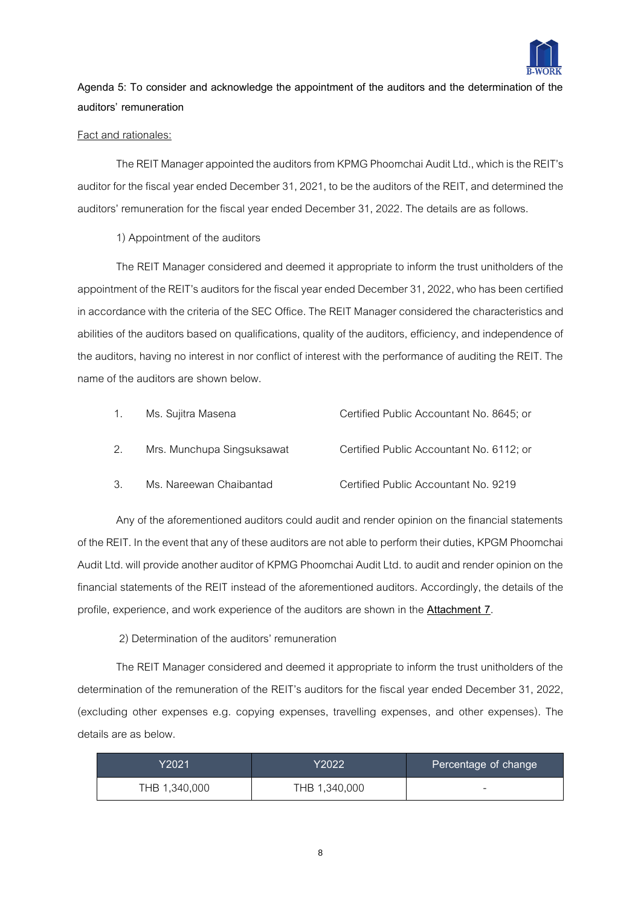

# **Agenda 5: To consider and acknowledge the appointment of the auditors and the determination of the auditors' remuneration**

## Fact and rationales:

The REIT Manager appointed the auditors from KPMG Phoomchai Audit Ltd., which is the REIT's auditor for the fiscal year ended December 31, 2021, to be the auditors of the REIT, and determined the auditors' remuneration for the fiscal year ended December 31, 2022. The details are as follows.

# 1) Appointment of the auditors

The REIT Manager considered and deemed it appropriate to inform the trust unitholders of the appointment of the REIT's auditors for the fiscal year ended December 31, 2022, who has been certified in accordance with the criteria of the SEC Office. The REIT Manager considered the characteristics and abilities of the auditors based on qualifications, quality of the auditors, efficiency, and independence of the auditors, having no interest in nor conflict of interest with the performance of auditing the REIT. The name of the auditors are shown below.

| Ms. Sujitra Masena         | Certified Public Accountant No. 8645; or |
|----------------------------|------------------------------------------|
| Mrs. Munchupa Singsuksawat | Certified Public Accountant No. 6112; or |
| Ms. Nareewan Chaibantad    | Certified Public Accountant No. 9219     |

Any of the aforementioned auditors could audit and render opinion on the financial statements of the REIT. In the event that any of these auditors are not able to perform their duties, KPGM Phoomchai Audit Ltd. will provide another auditor of KPMG Phoomchai Audit Ltd. to audit and render opinion on the financial statements of the REIT instead of the aforementioned auditors. Accordingly, the details of the profile, experience, and work experience of the auditors are shown in the **Attachment 7**.

2) Determination of the auditors' remuneration

The REIT Manager considered and deemed it appropriate to inform the trust unitholders of the determination of the remuneration of the REIT's auditors for the fiscal year ended December 31, 2022, (excluding other expenses e.g. copying expenses, travelling expenses, and other expenses). The details are as below.

| Y2021         | Y2022         | Percentage of change     |
|---------------|---------------|--------------------------|
| THB 1,340,000 | THB 1,340,000 | $\overline{\phantom{a}}$ |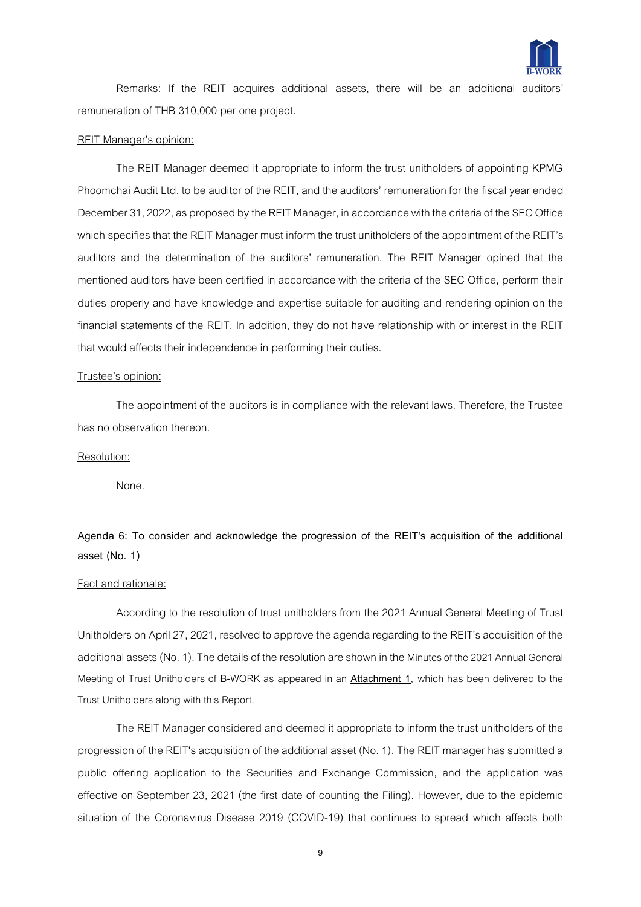

Remarks: If the REIT acquires additional assets, there will be an additional auditors' remuneration of THB 310,000 per one project.

#### REIT Manager's opinion:

The REIT Manager deemed it appropriate to inform the trust unitholders of appointing KPMG Phoomchai Audit Ltd. to be auditor of the REIT, and the auditors' remuneration for the fiscal year ended December 31, 2022, as proposed by the REIT Manager, in accordance with the criteria of the SEC Office which specifies that the REIT Manager must inform the trust unitholders of the appointment of the REIT's auditors and the determination of the auditors' remuneration. The REIT Manager opined that the mentioned auditors have been certified in accordance with the criteria of the SEC Office, perform their duties properly and have knowledge and expertise suitable for auditing and rendering opinion on the financial statements of the REIT. In addition, they do not have relationship with or interest in the REIT that would affects their independence in performing their duties.

#### Trustee's opinion:

The appointment of the auditors is in compliance with the relevant laws. Therefore, the Trustee has no observation thereon.

## Resolution:

None.

# **Agenda 6: To consider and acknowledge the progression of the REIT's acquisition of the additional asset (No. 1)**

## Fact and rationale:

According to the resolution of trust unitholders from the 2021 Annual General Meeting of Trust Unitholders on April 27, 2021, resolved to approve the agenda regarding to the REIT's acquisition of the additional assets (No. 1). The details of the resolution are shown in the Minutes of the 2021 Annual General Meeting of Trust Unitholders of B-WORK as appeared in an **Attachment 1**, which has been delivered to the Trust Unitholders along with this Report.

The REIT Manager considered and deemed it appropriate to inform the trust unitholders of the progression of the REIT's acquisition of the additional asset (No. 1). The REIT manager has submitted a public offering application to the Securities and Exchange Commission, and the application was effective on September 23, 2021 (the first date of counting the Filing). However, due to the epidemic situation of the Coronavirus Disease 2019 (COVID-19) that continues to spread which affects both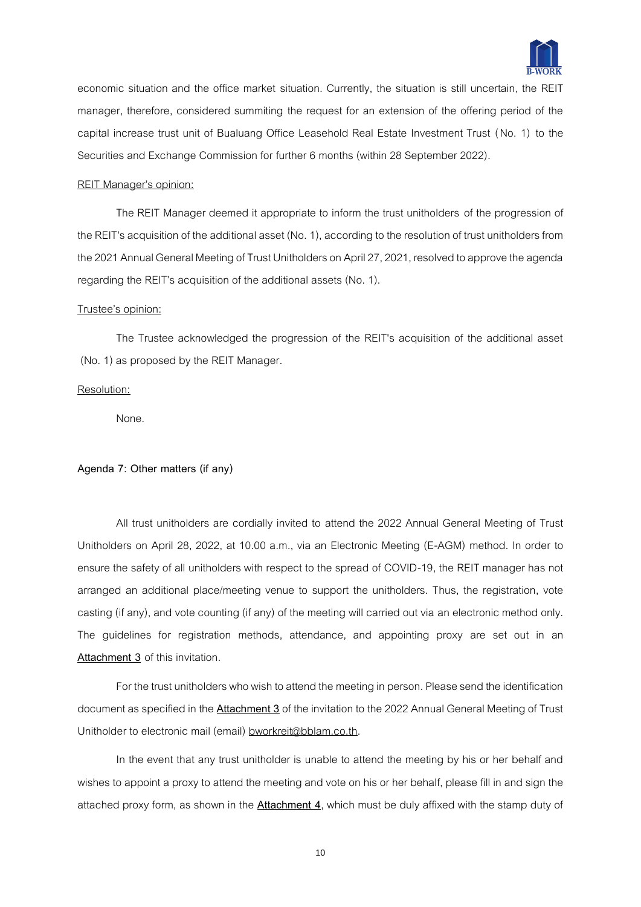

economic situation and the office market situation. Currently, the situation is still uncertain, the REIT manager, therefore, considered summiting the request for an extension of the offering period of the capital increase trust unit of Bualuang Office Leasehold Real Estate Investment Trust (No. 1) to the Securities and Exchange Commission for further 6 months (within 28 September 2022).

#### REIT Manager's opinion:

The REIT Manager deemed it appropriate to inform the trust unitholders of the progression of the REIT's acquisition of the additional asset (No. 1), according to the resolution of trust unitholders from the 2021 Annual General Meeting of Trust Unitholders on April 27, 2021, resolved to approve the agenda regarding the REIT's acquisition of the additional assets (No. 1).

#### Trustee's opinion:

The Trustee acknowledged the progression of the REIT's acquisition of the additional asset (No. 1) as proposed by the REIT Manager.

#### Resolution:

None.

#### **Agenda 7: Other matters (if any)**

All trust unitholders are cordially invited to attend the 2022 Annual General Meeting of Trust Unitholders on April 28, 2022, at 10.00 a.m., via an Electronic Meeting (E-AGM) method. In order to ensure the safety of all unitholders with respect to the spread of COVID-19, the REIT manager has not arranged an additional place/meeting venue to support the unitholders. Thus, the registration, vote casting (if any), and vote counting (if any) of the meeting will carried out via an electronic method only. The guidelines for registration methods, attendance, and appointing proxy are set out in an **Attachment 3** of this invitation.

For the trust unitholders who wish to attend the meeting in person. Please send the identification document as specified in the **Attachment 3**of the invitation to the 2022 Annual General Meeting of Trust Unitholder to electronic mail (email) bworkreit@bblam.co.th.

In the event that any trust unitholder is unable to attend the meeting by his or her behalf and wishes to appoint a proxy to attend the meeting and vote on his or her behalf, please fill in and sign the attached proxy form, as shown in the **Attachment 4**, which must be duly affixed with the stamp duty of